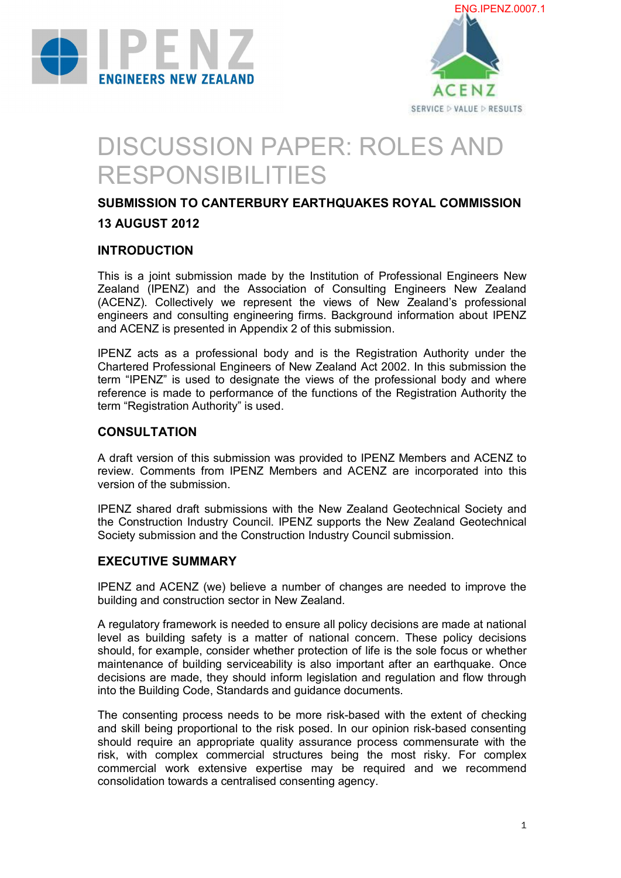



# DISCUSSION PAPER: ROLES AND RESPONSIBILITIES

# **SUBMISSION TO CANTERBURY EARTHQUAKES ROYAL COMMISSION**

# **13 AUGUST 2012**

### **INTRODUCTION**

**INTRODUCTION**<br>This is a joint submission made by the Institution of Professional Engineers New<br>Zealand, (IPENZ), and the Association of Consulting Engineers New Zealand This is a joint submission made by the Institution of Professional Engineers New<br>Zealand (IPENZ) and the Association of Consulting Engineers New Zealand<br>(ACENZ), Collectively we represent the views of New Zealand's profess This is a joint submission made by the Institution of Professional Engineers New<br>Zealand (IPENZ) and the Association of Consulting Engineers New Zealand<br>(ACENZ). Collectively we represent the views of New Zealand's profess Zealand (IPENZ) and the Association of Consulting Engineers New Zealand<br>(ACENZ). Collectively we represent the views of New Zealand's professional<br>engineers and consulting engineering firms. Background information about IP and ACENZ is presented in Appendix 2 of this submission. engineers and consulting engineering firms. Background information about IPENZ<br>and ACENZ is presented in Appendix 2 of this submission.<br>IPENZ acts as a professional body and is the Registration Authority under the

Chartered Professional Engineers of New Zealand Act 2002. In this submission the IPENZ acts as a professional body and is the Registration Authority under the<br>Chartered Professional Engineers of New Zealand Act 2002. In this submission the<br>term "IPENZ" is used to designate the views of the professional reference is made to performance of the functions of the Registration Authority the term "Registration Authority" is used.

## **CONSULTATION**

A draft version of this submission was provided to IPENZ Members and ACENZ to A draft version of this submission was provided to IPENZ Members and ACENZ to<br>review. Comments from IPENZ Members and ACENZ are incorporated into this version of the submission. Interiew. Comments from IPENZ Members and ACENZ are incorporated into this<br>version of the submissions.<br>IPENZ shared draft submissions with the New Zealand Geotechnical Society and

the Construction Industry Council. IPENZ supports the New Zealand Geotechnical Society submission and the Construction Industry Council submission.

## **EXECUTIVE SUMMARY**

IPENZ and ACENZ (we) believe a number of changes are needed to improve the building and construction sector in New Zealand.

A regulatory framework is needed to ensure all policy decisions are made at national A regulatory framework is needed to ensure all policy decisions are made at national<br>level as building safety is a matter of national concern. These policy decisions<br>should for example consider whether protection of life i should, for example, consider whether protection of life is the sole focus or whether level as building safety is a matter of national concern. These policy decisions should, for example, consider whether protection of life is the sole focus or whether maintenance of building serviceability is also importan should, for example, consider whether protection of life is the sole focus or whether<br>maintenance of building serviceability is also important after an earthquake. Once<br>decisions are made, they should inform legislation an into the Building Code, Standards and guidance documents.

into the Building Code, Standards and guidance documents.<br>The consenting process needs to be more risk-based with the extent of checking<br>and skill being proportional to the risk posed. In our opinion risk-based consenting The consenting process needs to be more risk-based with the extent of checking<br>and skill being proportional to the risk posed. In our opinion risk-based consenting<br>should require an appropriate quality assurance process co and skill being proportional to the risk posed. In our opinion risk-based consenting should require an appropriate quality assurance process commensurate with the and skill being proportional to the risk posed. In our opinion risk-based consenting<br>should require an appropriate quality assurance process commensurate with the<br>risk, with complex commercial structures being the most ris should require an appropriate quality assurance process commensurate with the<br>risk, with complex commercial structures being the most risky. For complex<br>commercial work extensive expertise may be required and we recommend<br> consolidation towards a centralised consenting agency.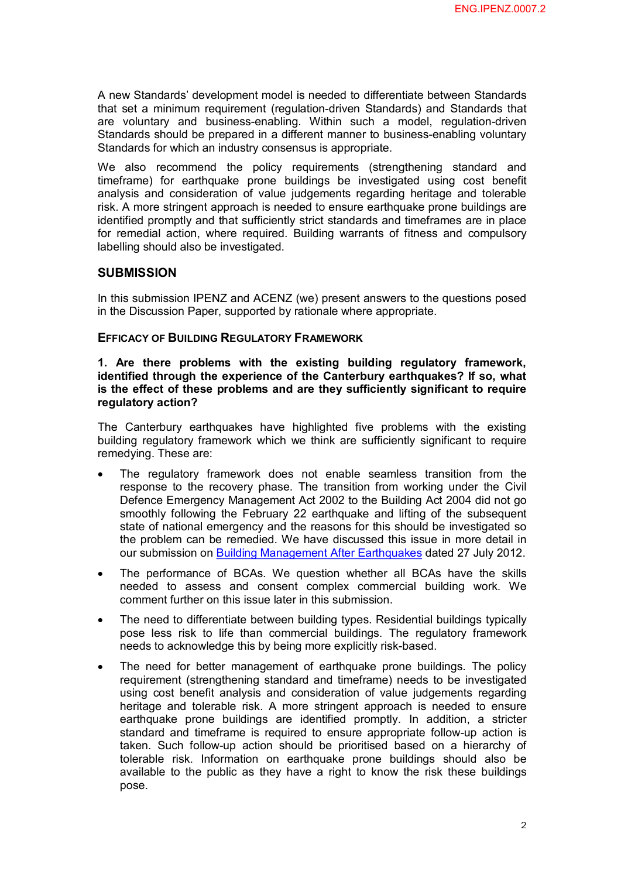A new Standards' development model is needed to differentiate between Standards that set a minimum requirement (regulation-driven Standards) and Standards that are voluntary and business-enabling. Within such a model, regulation-driven Standards should be prepared in a different manner to business-enabling voluntary Standards for which an industry consensus is appropriate.

We also recommend the policy requirements (strengthening standard and Staridates for which an industry consensus is appropriate.<br>We also recommend the policy requirements (strengthening standard and<br>timeframe) for earthquake prone buildings be investigated using cost benefit<br>analysis and con We also recommend the policy requirements (strengthening standard and<br>timeframe) for earthquake prone buildings be investigated using cost benefit<br>analysis and consideration of value judgements regarding heritage and toler risk. A more stringent approach is needed to ensure earthquake prone buildings are identified promptly and that sufficiently strict standards and timeframes are in place for remedial action, where required. Building warrants of fitness and compulsory labelling should also be investigated.

#### **SUBMISSION**

In this submission IPENZ and ACENZ (we) present answers to the questions posed in the Discussion Paper, supported by rationale where appropriate.

#### **EFFICACY OF BUILDING REGULATORY FRAMEWORK**

# EFFICACY OF BUILDING REGULATORY FRAMEWORK<br>1. Are there problems with the existing building regulatory framework,<br>identified through the experience of the Canterbury earthquakes? If so what **i**<br>**identified through the experience of the Canterbury earthquakes? If so, what**<br>is the effect of these problems and are they sufficiently significant to require **1.** Are there problems with the existing building regulatory framework, identified through the experience of the Canterbury earthquakes? If so, what is the effect of these problems and are they sufficiently significant to **regulatory action?**

The Canterbury earthquakes have highlighted five problems with the existing building regulatory framework which we think are sufficiently significant to require remedying. These are:

- The regulatory framework does not enable seamless transition from the response to the recovery phase. The transition from working under the Civil Defence Emergency Management Act 2002 to the Building Act 2004 did not go smoothly following the February 22 earthquake and lifting of the subsequent state of national emergency and the reasons for this should be investigated so smoothly following the February 22 earthquake and lifting of the subsequent<br>state of national emergency and the reasons for this should be investigated so<br>the problem can be remedied. We have discussed this issue in more d
- our submission on <u>Building Management After Earthquakes</u> dated 27 July 2012.<br>• The performance of BCAs. We question whether all BCAs have the skills needed to assess and consent complex commercial building work. We The performance of BCAs. We question whether all BCAs have the skills needed to assess and consent complex commercial building work. We comment further on this issue later in this submission.
- The need to differentiate between building types. Residential buildings typically pose less risk to life than commercial buildings. The regulatory framework needs to acknowledge this by being more explicitly risk-based.
- The need for better management of earthquake prone buildings. The policy reeds to acknowledge this by being more explicitly risk-based.<br>The need for better management of earthquake prone buildings. The policy<br>requirement (strengthening standard and timeframe) needs to be investigated<br>using cost The need for better management of earthquake prone buildings. The policy<br>requirement (strengthening standard and timeframe) needs to be investigated<br>using cost benefit analysis and consideration of value judgements regardi requirement (strengthening standard and timeframe) needs to be investigated<br>using cost benefit analysis and consideration of value judgements regarding<br>heritage and tolerable risk. A more stringent approach is needed to en using cost benefit analysis and consideration of value judgements regarding<br>heritage and tolerable risk. A more stringent approach is needed to ensure<br>earthquake prone buildings are identified promptly. In addition, a stri heritage and tolerable risk. A more stringent approach is needed to ensure<br>earthquake prone buildings are identified promptly. In addition, a stricter<br>standard and timeframe is required to ensure appropriate follow-up acti earthquake prone buildings are identified promptly. In addition, a stricter<br>standard and timeframe is required to ensure appropriate follow-up action is<br>taken. Such follow-up action should be prioritised based on a hierarc standard and timeframe is required to ensure appropriate follow-up action is<br>taken. Such follow-up action should be prioritised based on a hierarchy of<br>tolerable risk. Information on earthquake prone buildings should also taken. Such follow-up action should be prioritised based on a hierarchy of tolerable risk. Information on earthquake prone buildings should also be available to the public as they have a right to know the risk these buildi pose.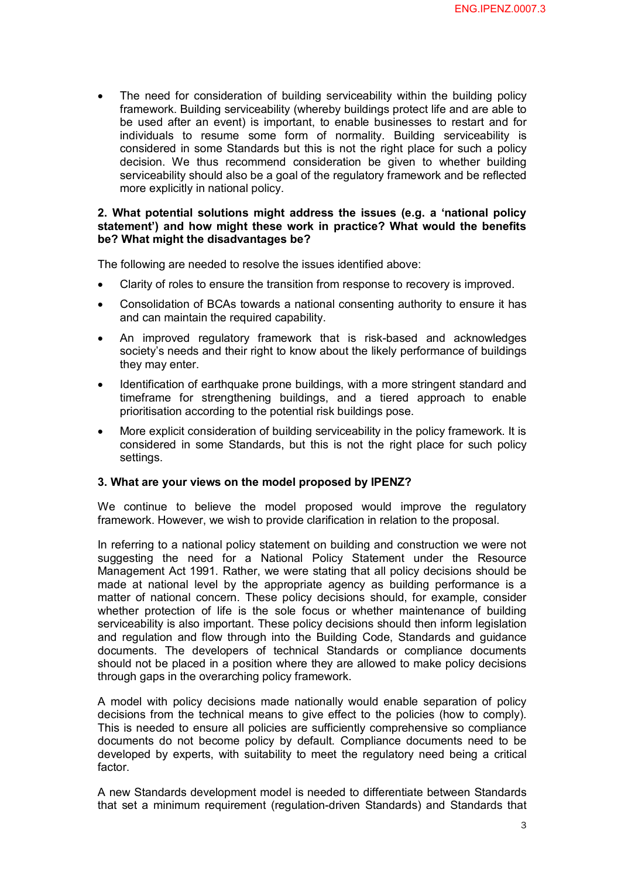The need for consideration of building serviceability within the building policy framework. Building serviceability (whereby buildings protect life and are able to The need for consideration of building serviceability within the building policy<br>framework. Building serviceability (whereby buildings protect life and are able to<br>be used after an event) is important, to enable businesses framework. Building serviceability (whereby buildings protect life and are able to<br>be used after an event) is important, to enable businesses to restart and for<br>individuals to resume some form of normality. Building servic be used after an event) is important, to enable businesses to restart and for individuals to resume some form of normality. Building serviceability is considered in some Standards but this is not the right place for such a individuals to resume some form of normality. Building serviceability is considered in some Standards but this is not the right place for such a policy decision. We thus recommend consideration be given to whether building serviceability should also be a goal of the regulatory framework and be reflected more explicitly in national policy.

#### **2. What potential solutions might address the issues (e.g. a 'national policy statement') and how might these work in practice? What would the benefits be? What might the disadvantages be?**

The following are needed to resolve the issues identified above:

- Clarity of roles to ensure the transition from response to recovery is improved.
- · Consolidation of BCAs towards a national consenting authority to ensure it has and can maintain the required capability.
- An improved regulatory framework that is risk-based and acknowledges society's needs and their right to know about the likely performance of buildings they may enter.
- · Identification of earthquake prone buildings, with a more stringent standard and they may enter.<br>Identification of earthquake prone buildings, with a more stringent standard and<br>timeframe for strengthening buildings, and a tiered approach to enable<br>prioritisation according to the potential risk buildin prioritisation according to the potential risk buildings pose.
- · More explicit consideration of building serviceability in the policy framework. It is prioritisation according to the potential risk buildings pose.<br>More explicit consideration of building serviceability in the policy framework. It is<br>considered in some Standards, but this is not the right place for such po settings.

#### **3. What are your views on the model proposed by IPENZ?**

We continue to believe the model proposed would improve the regulatory framework. However, we wish to provide clarification in relation to the proposal.

In referring to a national policy statement on building and construction we were not In referring to a national policy statement on building and construction we were not<br>suggesting the need for a National Policy Statement under the Resource<br>Management Act 1991 Rather we were stating that all policy decisio Management Act 1991. Rather, we were stating that all policy decisions should be suggesting the need for a National Policy Statement under the Resource Management Act 1991. Rather, we were stating that all policy decisions should be made at national level by the appropriate agency as building performan Management Act 1991. Rather, we were stating that all policy decisions should be made at national level by the appropriate agency as building performance is a matter of national concern. These policy decisions should, for made at national level by the appropriate agency as building performance is a<br>matter of national concern. These policy decisions should, for example, consider<br>whether protection of life is the sole focus or whether mainten serviceability is also important. These policy decisions should then inform legislation whether protection of life is the sole focus or whether maintenance of building<br>serviceability is also important. These policy decisions should then inform legislation<br>and regulation and flow through into the Building Code serviceability is also important. These policy decisions should then inform legislation<br>and regulation and flow through into the Building Code, Standards and guidance<br>documents. The developers of technical Standards or com should not be placed in a position where they are allowed to make policy decisions through gaps in the overarching policy framework.

through gaps in the overarching policy framework.<br>A model with policy decisions made nationally would enable separation of policy<br>decisions from the technical means to give effect to the policies (bow to comply) decisions from the technical means to give effect to the policies (how to comply).<br>This is needed to ensure all policies are sufficiently comprehensive so compliance This is needed to ensure all policies are sufficiently comprehensive so compliance decisions from the technical means to give effect to the policies (how to comply).<br>This is needed to ensure all policies are sufficiently comprehensive so compliance<br>documents do not become policy by default. Compliance do documents do not become policy by default. Compliance documents need to be developed by experts, with suitability to meet the regulatory need being a critical factor.

A new Standards development model is needed to differentiate between Standards A new Standards development model is needed to differentiate between Standards<br>that set a minimum requirement (regulation-driven Standards) and Standards that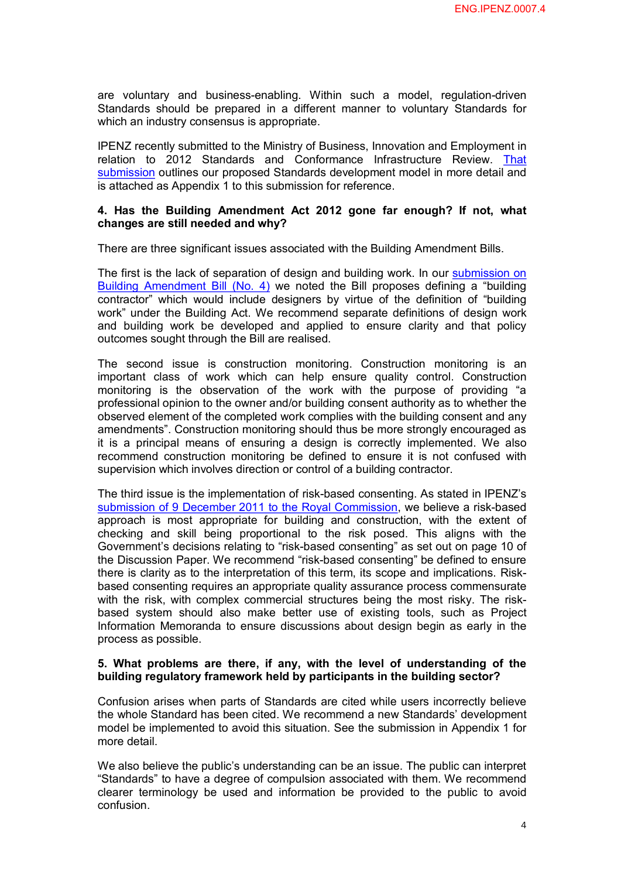are voluntary and business-enabling. Within such a model, regulation-driven<br>Standards should be prenared in a different manner to voluntary Standards for are voluntary and business-enabling. Within such a model, regulation-driven<br>Standards should be prepared in a different manner to voluntary Standards for<br>which an industry consensus is appropriate which an industry consensus is appropriate.

IPENZ recently submitted to the Ministry of Business, Innovation and Employment in [relation to 2012 Standards and Conformance Infrastructure Review.](http://www.ipenz.org.nz/ipenz/forms/pdfs/Standards%20and%20conformance%20submission%20final.pdf)  That submission outlines our proposed Standards development model in more detail and is attached as Appendix 1 to this submission for reference.

#### **4. Has the Building Amendment Act 2012 gone far enough? If not, what changes are still needed and why?**

There are three significant issues associated with the Building Amendment Bills.

The first is the lack of separation of design and building work. In our **submission on** The first is the lack of separation of design and building work. In our **submission on**<br>Building Amendment Bill (No. 4) we noted the Bill proposes defining a "building<br>contractor" which would include designers by virtue o The first is the lack of separation of design and building work. In our **submission on**<br> **Building Amendment Bill (No. 4)** we noted the Bill proposes defining a "building<br>
contractor" which would include designers by virtu BuildingAmendment Bill (No. 4) we noted the Bill proposes defining a "building<br>contractor" which would include designers by virtue of the definition of "building<br>work" under the Building Act. We recommend separate definit contractor" which would include designers by virtue of the definition of "building<br>work" under the Building Act. We recommend separate definitions of design work<br>and building work be developed and applied to ensure cla outcomes sought through the Bill are realised.

outcomes sought through the Bill are realised.<br>The second issue is construction monitoring. Construction monitoring is an<br>important class of work which can help ensure quality control. Construction The second issue is construction monitoring. Construction monitoring is an<br>important class of work which can help ensure quality control. Construction<br>monitoring is the observation of the work with the purpose of providing The second issue is construction monitoring. Construction monitoring is an important class of work which can help ensure quality control. Construction monitoring is the observation of the work with the purpose of providing professional opinion to the owner and/or building consent authority as to whether the observed element of the completed work complies with the building consent and any amendments". Construction monitoring should thus be more strongly encouraged as it is a principal means of ensuring a design is correctly im amendments". Construction monitoring should thus be more strongly encouraged as it is a principal means of ensuring a design is correctly implemented. We also recommend construction monitoring be defined to ensure it is not confused with supervision which involves direction or control of a building contractor.

The third issue is the implementation of risk-based consenting. As stated in IPENZ's submission of 9 December 2011 to the Royal Commission, we believe a risk-based Thethird issue is the implementation of risk-based consenting. As stated in IPENZ's<br>submission of 9 December 2011 to the Royal Commission, we believe a risk-based<br>approach is most appropriate for building and construction submission of 9 December 2011 to the Royal Commission, we believe a risk-based<br>approach is most appropriate for building and construction, with the extent of<br>checking and skill being proportional to the risk posed. This al Government's decisions relating to "riskbased consenting" as set out on page 10 of the Discussion Paper. We recommend "risk-based consenting" be defined to ensure there is clarity as to the interpretation of this term, its scope and implications. Risk based consenting requires an appropriate quality assurance process commensurate there is clarity as to the interpretation of this term, its scope and implications. Risk-<br>based consenting requires an appropriate quality assurance process commensurate<br>with the risk, with complex commercial structures be based consenting requires an appropriate quality assurance process commensurate<br>with the risk, with complex commercial structures being the most risky. The risk-<br>based system should also make better use of existing tools, with the risk, with complex commercial structures being the most risky. The risk-<br>based system should also make better use of existing tools, such as Project<br>Information Memoranda to ensure discussions about design begin a process as possible.

#### **5. What problems are there, if any, with the level of understanding of the building regulatory framework held by participants in the building sector?**

Confusion arises when parts of Standards are cited while users incorrectly believe the whole Standard has been cited. We recommend a new Standards' development model be implemented to avoid this situation. See the submission in Appendix 1 for more detail.

We also believe the public's understanding can be an issue. The public can interpret "Standards" to have a degree of compulsion associated with them. We recommend We also believe the public's understanding can be an issue. The public can interpret<br>"Standards" to have a degree of compulsion associated with them. We recommend<br>clearer terminology be used and information be provided to confusion.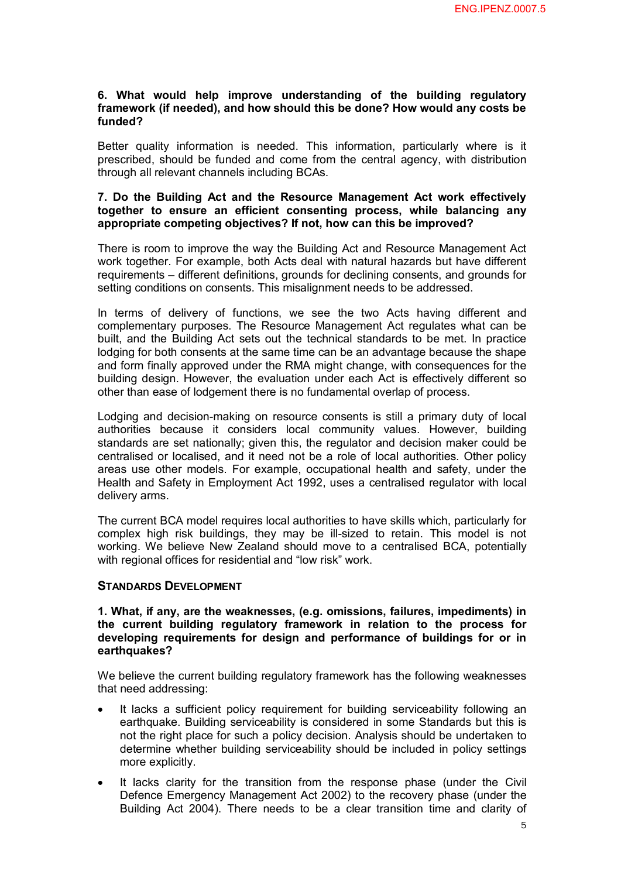#### **6. What would help improve understanding of the building regulatory framework (if needed), and how should this be done? How would any costs be funded?**

funded?<br>Better quality information is needed. This information, particularly where is it<br>prescribed, should be funded and come from the central agency with distribution Better quality information is needed. This information, particularly where is it<br>prescribed, should be funded and come from the central agency, with distribution<br>through all relevant channels including BCAs through all relevant channels including BCAs. prescribed, should be funded and come from the central agency, with distribution through all relevant channels including BCAs.<br> **7. Do the Building Act and the Resource Management Act work effectively** 

# **together to ensure an efficient consenting process, while balancing any appropriate competing objectives? If not, how can this be improved?**

There is room to improve the way the Building Act and Resource Management Act work together. For example, both Acts deal with natural hazards but have different requirements – different definitions, grounds for declining consents, and grounds for setting conditions on consents. This misalignment needs to be addressed.

Setting conditions on consents. This misalignment needs to be addressed.<br>In terms of delivery of functions, we see the two Acts having different and<br>complementary nuroses. The Resource Management Act requisites w In terms of delivery of functions, we see the two Acts having different and<br>complementary purposes. The Resource Management Act regulates what can be<br>built and the Building Act sets out the technical standards to be met. I In terms of delivery of functions, we see the two Acts having different and<br>complementary purposes. The Resource Management Act regulates what can be<br>built, and the Building Act sets out the technical standards to be met. lodging for both consents at the same time can be an advantage because the shape and form finally approved under the RMA might change, with consequences for the building design. However, the evaluation under each Act is effectively different so other than ease of lodgement there is no fundamental overlap of process.

Lodging and decision-making on resource consents is still a primary duty of local authorities because it considers local community values. However, building Lodging and decision-making on resource consents is still a primary duty of local<br>authorities because it considers local community values. However, building<br>standards are set nationally; given this, the regulator and decis authorities because it considers local community values. However, building<br>standards are set nationally; given this, the regulator and decision maker could be<br>centralised or localised, and it need not be a role of local au standards are set nationally; given this, the regulator and decision maker could be<br>centralised or localised, and it need not be a role of local authorities. Other policy<br>areas use other models. For example, occupational h centralised or localised, and it need not be a role of local authorities. Other policy areas use other models. For example, occupational health and safety, under the Health and Safety in Employment Act 1992, uses a central delivery arms.

The current BCA model requires local authorities to have skills which, particularly for complex high risk buildings, they may be ill-sized to retain. This model is not working. We believe New Zealand should move to a centralised BCA, potentially with regional offices for residential and "low risk" work.

#### **STANDARDS DEVELOPMENT**

## **1. What, if any, are the weaknesses, (e.g. omissions, failures, impediments) in**  1. What, if any, are the weaknesses, (e.g. omissions, failures, impediments) in<br>the current building regulatory framework in relation to the process for<br>developing requirements for design and performance of buildings for o **depending 1. What, if any, are the weaknesses, (e.g. omissions, failures, impediments) in<br>the current building regulatory framework in relation to the process for<br>developing requirements for design and performance of buil earthquakes?**

We believe the current building regulatory framework has the following weaknesses that need addressing:

- It lacks a sufficient policy requirement for building serviceability following an earthquake. Building serviceability is considered in some Standards but this is not the right place for such a policy decision. Analysis should be undertaken to earthquake. Building serviceability is considered in some Standards but this is<br>not the right place for such a policy decision. Analysis should be undertaken to<br>determine whether building serviceability should be included more explicitly.
- observed in policy settings<br>in the explicitly.<br>It lacks clarity for the transition from the response phase (under the Civil<br>Defence Emergency Management Act 2002) to the recovery phase (under the more explicitly.<br>It lacks clarity for the transition from the response phase (under the Civil<br>Defence Emergency Management Act 2002) to the recovery phase (under the<br>Building Act 2004). There peeds to be a clear transition It lacks clarity for the transition from the response phase (under the Civil<br>Defence Emergency Management Act 2002) to the recovery phase (under the<br>Building Act 2004). There needs to be a clear transition time and clarity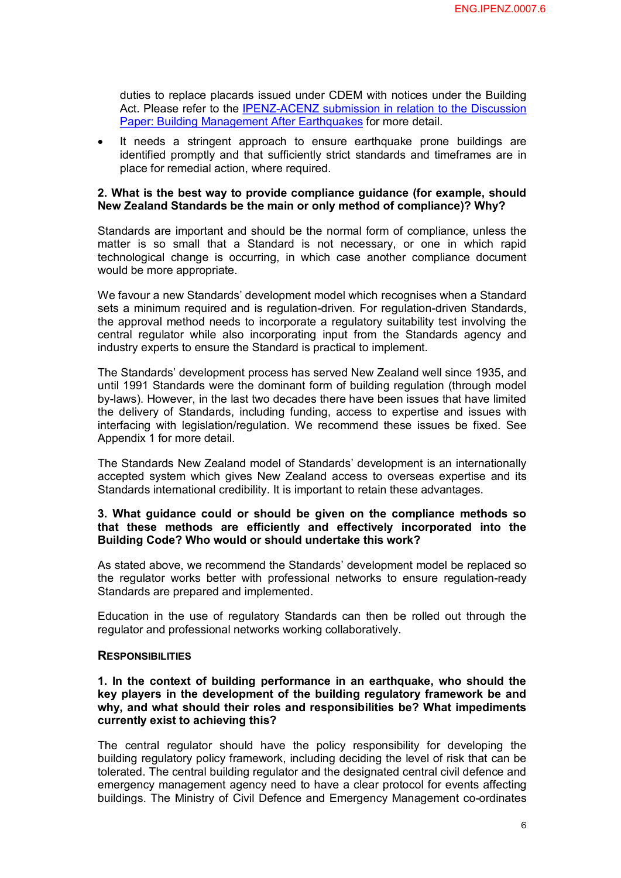duties to replace placards issued under CDEM with notices under the Building Act. Please refer to the IPENZ-ACENZ submission in relation to the Discussion Paper: Building Management After Earthquakes for more detail.

Paper:Building Management After Earthquakes for more detail.<br>• It needs a stringent approach to ensure earthquake prone buildings are<br>identified promotly and that sufficiently strict standards and timeframes are in raper. Bunding Management Arter Lartinguakes for more detail.<br>It needs a stringent approach to ensure earthquake prone buildings are<br>identified promptly and that sufficiently strict standards and timeframes are in place for remedial action, where required.

#### **2. What is the best way to provide compliance guidance (for example, should New Zealand Standards be the main or only method of compliance)? Why?**

Standards are important and should be the normal form of compliance, unless the Standards are important and should be the normal form of compliance, unless the<br>matter is so small that a Standard is not necessary, or one in which rapid<br>technological change is occurring in which case another compliance matter is so small that a Standard is not necessary, or one in which rapid technological change is occurring, in which case another compliance document would be more appropriate.

We favour a new Standards' development model which recognises when a Standard We favour a new Standards' development model which recognises when a Standard<br>sets a minimum required and is regulation-driven. For regulation-driven Standards,<br>the approval method needs to incorporate a requistory suitab We favour a new Standards' development model which recognises when a Standard<br>sets a minimum required and is regulation-driven. For regulation-driven Standards,<br>the approval method needs to incorporation input from the Sta the approval method needs to incorporate a regulatory suitability test involving the central regulator while also incorporating input from the Standards agency and industry experts to ensure the Standard is practical to implement.

The Standards' development process has served New Zealand well since 1935, and The Standards' development process has served New Zealand well since 1935, and<br>until 1991 Standards were the dominant form of building regulation (through model<br>by-laws). However, in the last two decades there have been i by-laws). However, in the last two decades there have been issues that have limited<br>the delivery of Standards, including funding, access to expertise and issues with<br>interfacing with legislation/regulation. We recommend th until 1991 Standards were the dominant form of building regulation (through model by-laws). However, in the last two decades there have been issues that have limited the delivery of Standards, including funding, access to Appendix 1 for more detail.

The Standards New Zealand model of Standards' development is an internationally accepted system which gives New Zealand access to overseas expertise and its Standards international credibility. It is important to retain these advantages.

#### **3. What guidance could or should be given on the compliance methods so that these methods are efficiently and effectively incorporated into the Building Code? Who would or should undertake this work?**

As stated above, we recommend the Standards' development model be replaced so the regulator works better with professional networks to ensure regulation-ready Standards are prepared and implemented.

Education in the use of regulatory Standards can then be rolled out through the regulator and professional networks working collaboratively.

#### **RESPONSIBILITIES**

## **1. In the context of building performance in an earthquake, who should the key players in the context of building performance in an earthquake, who should the lead of the development of the building regulatory framework be and view and what should their roles and responsibilities he? What impedi 1.** In the context of building performance in an earthquake, who should the key players in the development of the building regulatory framework be and why, and what should their roles and responsibilities be? What impedim **currently exist to achieving this?** why, and what should their roles and responsibilities be? What impediments<br>currently exist to achieving this?<br>The central regulator should have the policy responsibility for developing the

building regulatory policy framework, including deciding the level of risk that can be tolerated. The central building regulator and the designated central civil defence and emergency management agency need to have a clear protocol for events affecting buildings. The Ministry of Civil Defence and Emergency Management coordinates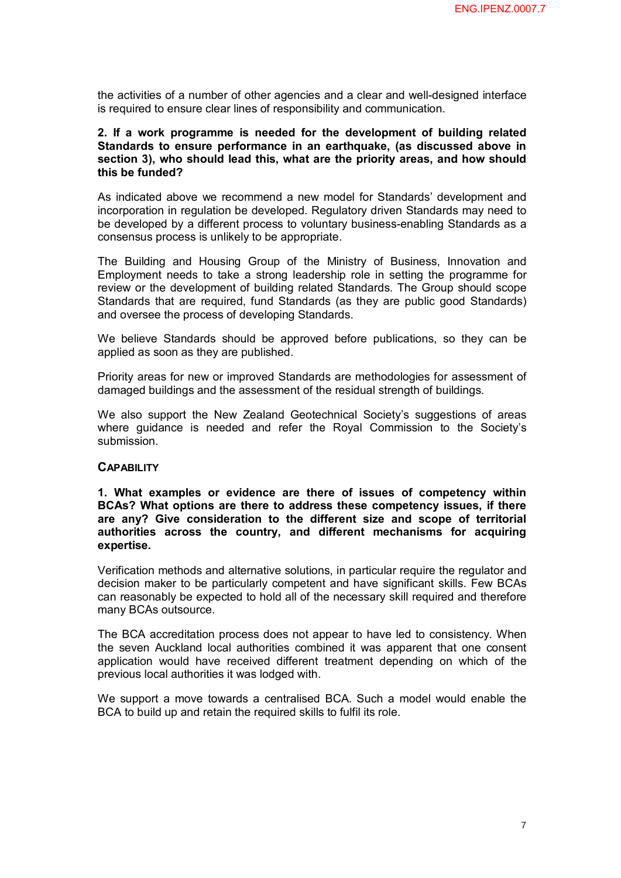the activities of a number of other agencies and a clear and well-designed interface is required to ensure clear lines of responsibility and communication.

## **2. If a work programme is needed for the development of building related Standards to ensure is needed for the development of building related**<br>Standards to ensure performance in an earthquake, (as discussed above in<br>section 3), who should lead this, what are the priority areas, and how should 2. If a work programme is needed for the development of building related<br>Standards to ensure performance in an earthquake, (as discussed above in<br>section 3), who should lead this, what are the priority areas, and how shoul **this be funded?**

As indicated above we recommend a new model for Standards' development and incorporation in regulation be developed. Regulatory driven Standards may need to be developed by a different process to voluntary business-enabling Standards as a consensus process is unlikely to be appropriate.

consensus process is unlikely to be appropriate.<br>The Building and Housing Group of the Ministry of Business, Innovation and<br>Employment needs to take a strong leadership role in setting the programme for The Building and Housing Group of the Ministry of Business, Innovation and<br>Employment needs to take a strong leadership role in setting the programme for<br>review or the development of building related Standards. The Group s The Building and Housing Group of the Ministry of Business, Innovation and<br>Employment needs to take a strong leadership role in setting the programme for<br>review or the development of building related Standards. The Group s Employment needs to take a strong leadership role in setting the programme for review or the development of building related Standards. The Group should scope Standards that are required, fund Standards (as they are public and oversee the process of developing Standards.

We believe Standards should be approved before publications, so they can be applied as soon as they are published.

Priority areas for new or improved Standards are methodologies for assessment of damaged buildings and the assessment of the residual strength of buildings.

We also support the New Zealand Geotechnical Society's suggestions of areas where guidance is needed and refer the Royal Commission to the Society's submission.

## **CAPABILITY**

**CAPABILITY**<br>1. What examples or evidence are there of issues of competency within<br>BCAs? What ontions are there to address these competency issues, if there **1. What examples or evidence are there of issues of competency within<br>BCAs? What options are there to address these competency issues, if there**<br>are any? Give consideration to the different size and scope of territorial **4. What examples or evidence are there of issues of competency within BCAs? What options are there to address these competency issues, if there are any? Give consideration to the different size and scope of territorial au** BCAs? What options are there to address these competency issues, if there are any? Give consideration to the different size and scope of territorial authorities across the country, and different mechanisms for acquiring **expertise.**

Verification methods and alternative solutions, in particular require the regulator and decision maker to be particularly competent and have significant skills. Few BCAs can reasonably be expected to hold all of the necessary skill required and therefore many BCAs outsource.

The BCA accreditation process does not appear to have led to consistency. When The BCA accreditation process does not appear to have led to consistency. When<br>the seven Auckland local authorities combined it was apparent that one consent<br>application would have received different treatment depending on The BCA accreditation process does not appear to have led to consistency. When<br>the seven Auckland local authorities combined it was apparent that one consent<br>application would have received different treatment depending on previous local authorities it was lodged with.

We support a move towards a centralised BCA. Such a model would enable the BCA to build up and retain the required skills to fulfil its role.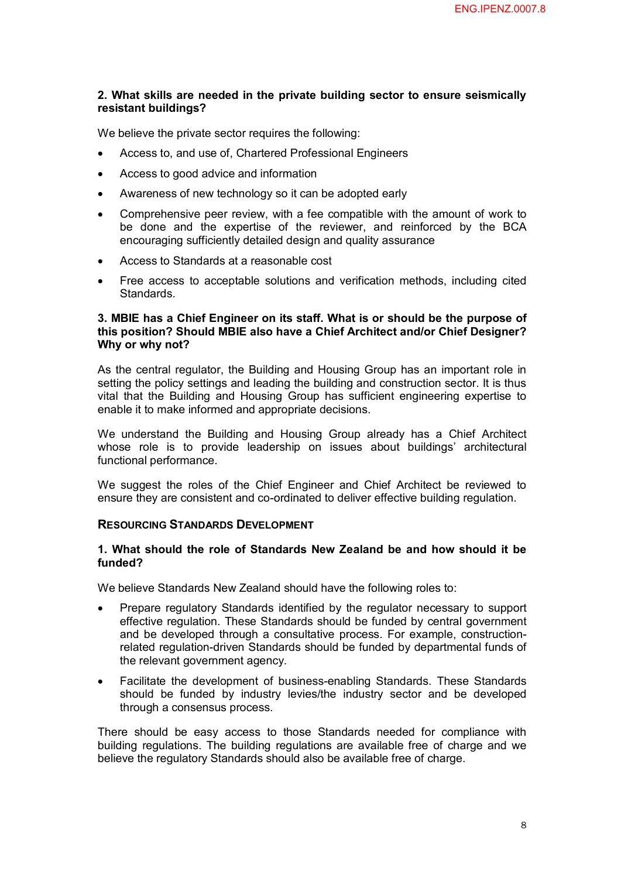#### **2. What skills are needed in the private building sector to ensure seismically resistant buildings?**

We believe the private sector requires the following:

- Access to, and use of, Chartered Professional Engineers
- · Access to good advice and information
- Awareness of new technology so it can be adopted early
- · Comprehensive peer review, with a fee compatible with the amount of work to be done and the expertise of the reviewer, and reinforced by the BCA encouraging sufficiently detailed design and quality assurance
- · Access to Standards at a reasonable cost
- Free access to acceptable solutions and verification methods, including cited Standards.

#### **3. MBIE has a Chief Engineer on its staff. What is or should be the purpose of this position? Should MBIE also have a Chief Architect and/or Chief Designer? Why or why not?**

As the central regulator, the Building and Housing Group has an important role in setting the policy settings and leading the building and construction sector. It is thus vital that the Building and Housing Group has sufficient engineering expertise to enable it to make informed and appropriate decisions.

enable it to make informed and appropriate decisions.<br>We understand the Building and Housing Group already has a Chief Architectural<br>whose role is to provide leadership on issues about buildings' architectural We understand the Building and Housing Group already has a Chief Architect<br>whose role is to provide leadership on issues about buildings' architectural functional performance.

We suggest the roles of the Chief Engineer and Chief Architect be reviewed to ensure they are consistent and co-ordinated to deliver effective building regulation.

#### **RESOURCING STANDARDS DEVELOPMENT**

#### **1. What should the role of Standards New Zealand be and how should it be funded?**

We believe Standards New Zealand should have the following roles to:

- · Prepare regulatory Standards identified by the regulator necessary to support befleve Standards New Zealand should have the following foles to.<br>Prepare regulatory Standards identified by the regulator necessary to support<br>effective regulation. These Standards should be funded by central government<br>a Prepare regulatory Standards identified by the regulator necessary to support<br>effective regulation. These Standards should be funded by central government<br>and be developed through a consultative process. For example, const related regulation-driven Standards should be funded by departmental funds of the relevant government agency.
- Facilitate the development of business-enabling Standards. These Standards<br>• Facilitate the development of business-enabling Standards. These Standards<br>• Should be funded by industry levies/the industry sector and be dev the relevant government agency.<br>Facilitate the development of business-enabling Standards. These Standards<br>should be funded by industry levies/the industry sector and be developed<br>through a consensus process through a consensus process. should be funded by industry levies/the industry sector and be developed<br>through a consensus process.<br>There should be easy access to those Standards needed for compliance with

building regulations. The building regulations are available free of charge and we believe the regulatory Standards should also be available free of charge.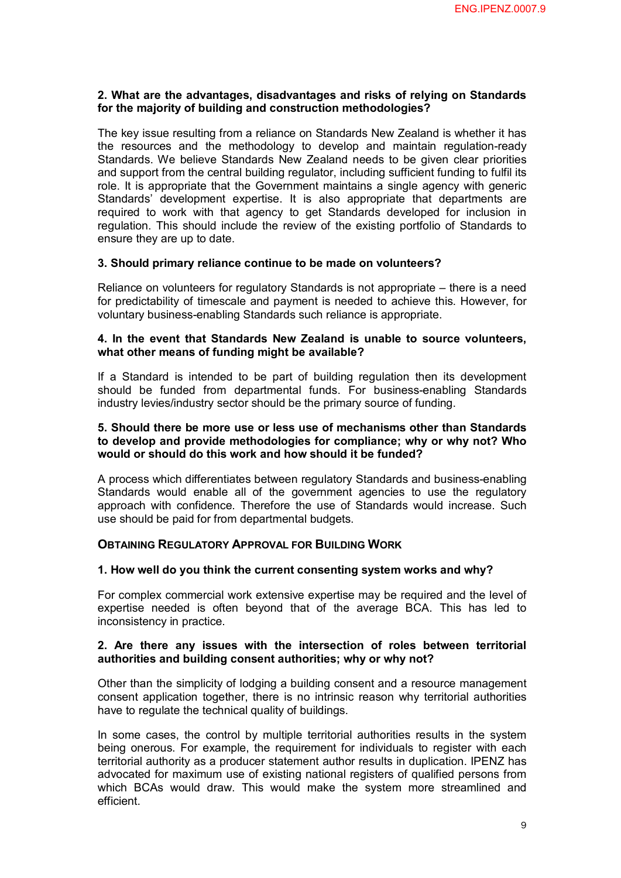#### **2. What are the advantages, disadvantages and risks of relying on Standards for the majority of building and construction methodologies?**

The key issue resulting from a reliance on Standards New Zealand is whether it has The key issue resulting from a reliance on Standards New Zealand is whether it has<br>the resources and the methodology to develop and maintain regulation-ready<br>Standards We helieve Standards New Zealand needs to be The key issue resulting from a reliance on Standards New Zealand is whether it has<br>the resources and the methodology to develop and maintain regulation-ready<br>Standards. We believe Standards New Zealand needs to be given cl and support from the central building regulator, including sufficient funding to fulfil its Standards. We believe Standards New Zealand needs to be given clear priorities and support from the central building regulator, including sufficient funding to fulfil its role. It is appropriate that the Government maintai and support from the central building regulator, including sufficient funding to fulfil its<br>role. It is appropriate that the Government maintains a single agency with generic<br>Standards' development expertise. It is also ap role. It is appropriate that the Government maintains a single agency with generic<br>Standards' development expertise. It is also appropriate that departments are<br>required to work with that agency to get Standards developed Standards' development expertise. It is also appropriate that departments are<br>required to work with that agency to get Standards developed for inclusion in<br>regulation. This should include the review of the existing portfol ensure they are up to date.

#### **3. Should primary reliance continue to be made on volunteers?**

Reliance on volunteers for regulatory Standards is not appropriate – there is a need for predictability of timescale and payment is needed to achieve this. However, for voluntary business-enabling Standards such reliance is appropriate.

#### **4. In the event that Standards New Zealand is unable to source volunteers, what other means of funding might be available?**

If <sup>a</sup> Standard is intended to be part of building regulation then its development should be funded from departmental funds. For business-enabling Standards industry levies/industry sector should be the primary source of funding.

#### **5. Should there be more use or less use of mechanisms other than Standards to develop and provide methodologies for compliance; why or why not? Who would or should do this work and how should it be funded?**

A process which differentiates between regulatory Standards and businessenabling A process which differentiates between regulatory Standards and business-enabling<br>Standards would enable all of the government agencies to use the regulatory<br>approach with confidence. Therefore the use of Standards would i A process which differentiates between regulatory Standards and business-enabling<br>Standards would enable all of the government agencies to use the regulatory<br>approach with confidence. Therefore the use of Standards would i use should be paid for from departmental budgets.

#### **OBTAINING REGULATORY APPROVAL FOR BUILDING WORK**

#### **1. How well do you think the current consenting system works and why?**

For complex commercial work extensive expertise may be required and the level of For complex commercial work extensive expertise may be required and the level of expertise needed is often beyond that of the average BCA. This has led to inconsistency in practice inconsistency in practice. **2. Are there any issues with the intersection of roles between territorial <br>
2. Are there any issues with the intersection of roles between territorial** 

# **authorities and building consent authorities; why or why not?**

Other than the simplicity of lodging a building consent and a resource management consent application together, there is no intrinsic reason why territorial authorities have to regulate the technical quality of buildings.

have to regulate the technical quality of buildings.<br>In some cases, the control by multiple territorial authorities results in the system<br>heing onerous. For example, the requirement for individuals to register with each In some cases, the control by multiple territorial authorities results in the system<br>being onerous. For example, the requirement for individuals to register with each<br>territorial authority as a producer statement author re territorial authority as a producer statement author results in duplication. IPENZ has being onerous. For example, the requirement for individuals to register with each territorial authority as a producer statement author results in duplication. IPENZ has advocated for maximum use of existing national regist which BCAs would draw. This would make the system more streamlined and efficient.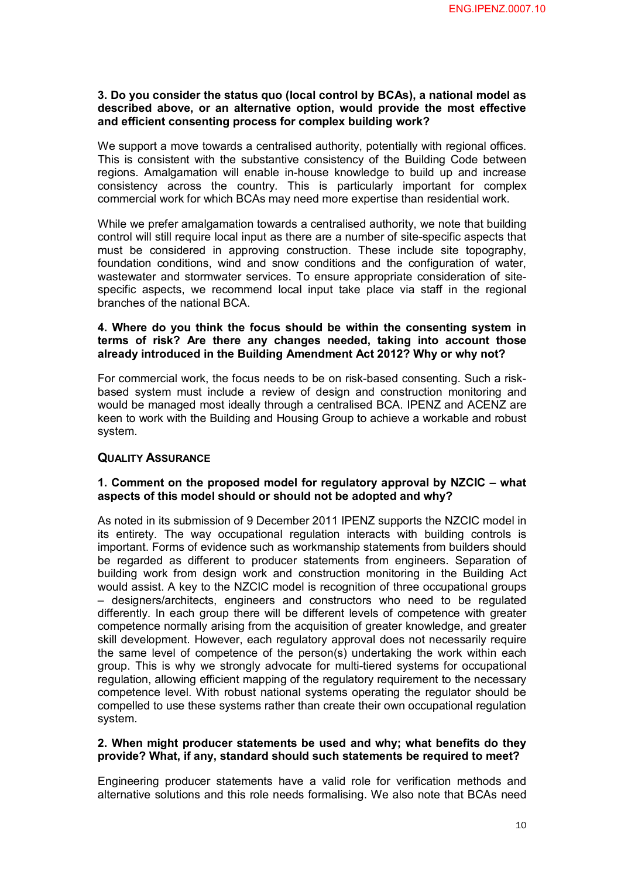## **3. Do you consider the status quo (local control by BCAs), a national model as described above, the status quo (local control by BCAs), a national model as<br>described above, or an alternative option, would provide the most effective<br>and efficient consenting process for complex building work? and efficient consenting process for complex building work?**

We support a move towards a centralised authority, potentially with regional offices. We support a move towards a centralised authority, potentially with regional offices.<br>This is consistent with the substantive consistency of the Building Code between<br>regions. Amalgamation will enable in-bouse knowledge to We support a move towards a centralised authority, potentially with regional offices.<br>This is consistent with the substantive consistency of the Building Code between<br>regions. Amalgamation will enable in-house knowledge to regions. Amalgamation will enable in-house knowledge to build up and increase consistency across the country. This is particularly important for complex commercial work for which BCAs may need more expertise than residential work.

While we prefer amalgamation towards a centralised authority, we note that building control will still require local input as there are a number of site-specific aspects that While we prefer amalgamation towards a centralised authority, we note that building<br>control will still require local input as there are a number of site-specific aspects that<br>must be considered in approving construction. T control will still require local input as there are a number of site-specific aspects that<br>must be considered in approving construction. These include site topography,<br>foundation conditions, wind and snow conditions and th must be considered in approving construction. These include site topography,<br>foundation conditions, wind and snow conditions and the configuration of water,<br>wastewater and stormwater services. To ensure appropriate conside foundation conditions, wind and snow conditions and the configuration of water, wastewater and stormwater services. To ensure appropriate consideration of sitespecific aspects, we recommend local input take place via staff branches of the national BCA.

#### **4. Where do you think the focus should be within the consenting system in terms of risk? Are there any changes needed, taking into account those already introduced in the Building Amendment Act 2012? Why or why not?**

For commercial work, the focus needs to be on risk-based consenting. Such a risk-For commercial work, the focus needs to be on risk-based consenting. Such a risk-<br>based system must include a review of design and construction monitoring and<br>would be managed most ideally through a centralised BCA JPENZ a would be managed most ideally through a centralised BCA. IPENZ and ACENZ are keen to work with the Building and Housing Group to achieve a workable and robust system.

#### **QUALITY ASSURANCE**

#### **1. Comment on the proposed model for regulatory approval by NZCIC – what aspects of this model should or should not be adopted and why?**

As noted in its submission of 9 December 2011 IPENZ supports the NZCIC model in its noted in its submission of 9 December 2011 IPENZ supports the NZCIC model in<br>its entirety. The way occupational regulation interacts with building controls is<br>important Forms of evidence such as workmanship statements important. Forms of evidence such as workmanship statements from builders should its entirety. The way occupational regulation interacts with building controls is<br>important. Forms of evidence such as workmanship statements from builders should<br>be regarded as different to producer statements from engine be regarded as different to producer statements from engineers. Separation of would assist. A key to the NZCIC model is recognition of three occupational groups building work from design work and construction monitoring in the Building Act<br>would assist. A key to the NZCIC model is recognition of three occupational groups<br>- designers/architects, engineers and constructors who need would assist. A key to the NZCIC model is recognition of three occupational groups<br>- designers/architects, engineers and constructors who need to be regulated<br>differently. In each group there will be different levels of co competence normally arising from the acquisition of greater knowledge, and greater differently. In each group there will be different levels of competence with greater competence normally arising from the acquisition of greater knowledge, and greater skill development. However, each regulatory approval d skill development. However, each regulatory approval does not necessarily require group. This is why we strongly advocate for multi-tiered systems for occupational regulation, allowing efficient mapping of the regulatory requirement to the necessary competence level. With robust national systems operating the regulator should be compelled to use these systems rather than create their own occupational regulation system.

# **2. When might producer statements be used and why; what benefits do they**

**provide? What, if any, standard should such statements be required to meet?**<br>Engineering producer statements have a valid role for verification methods and<br>alternative solutions and this role needs formalising. We also no Engineering producer statements have a valid role for verification methods and alternative solutions and this role needs formalising. We also note that BCAs need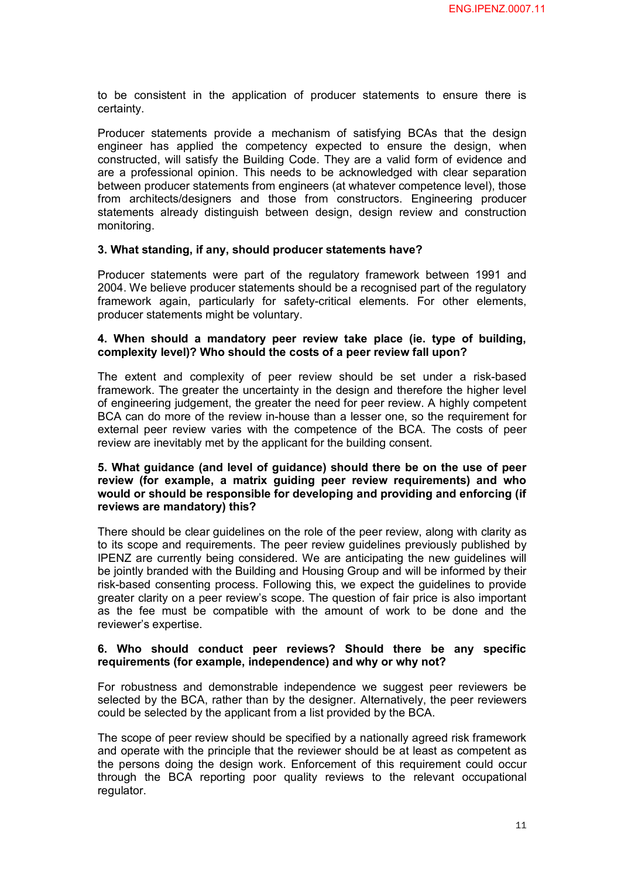to be consistent in the application of producer statements to ensure there is certainty.

eertainty.<br>Producer statements provide a mechanism of satisfying BCAs that the design<br>engineer has applied the competency expected to ensure the design when Producer statements provide a mechanism of satisfying BCAs that the design<br>engineer has applied the competency expected to ensure the design, when<br>constructed will satisfy the Building Code. They are a valid form of eviden Producer statements provide a mechanism of satisfying BCAs that the design<br>engineer has applied the competency expected to ensure the design, when<br>constructed, will satisfy the Building Code. They are a valid form of evide engineer has applied the competency expected to ensure the design, when<br>constructed, will satisfy the Building Code. They are a valid form of evidence and<br>are a professional opinion. This needs to be acknowledged with clea between producer statements from engineers (at whatever competence level), those are a professional opinion. This needs to be acknowledged with clear separation<br>between producer statements from engineers (at whatever competence level), those<br>from architects/designers and those from constructors. Engine between producer statements from engineers (at whatever competence level), those<br>from architects/designers and those from constructors. Engineering producer<br>statements already distinguish between design, design review and monitoring.

#### **3. What standing, if any, should producer statements have?**

Producer statements were part of the regulatory framework between 1991 and 2004. We believe producer statements should be a recognised part of the regulatory Producer statements were part of the regulatory framework between 1991 and 2004. We believe producer statements should be a recognised part of the regulatory framework again, particularly for safety-critical elements. For producer statements might be voluntary.

#### **4. When should a mandatory peer review take place (ie. type of building, complexity level)? Who should the costs of a peer review fall upon?**

The extent and complexity of peer review should be set under a risk-based framework. The greater the uncertainty in the design and therefore the higher level of engineering judgement, the greater the need for peer review. A highly competent BCA can do more of the review in-house than a lesser one, so the requirement for of engineering judgement, the greater the need for peer review. A highly competent<br>BCA can do more of the review in-house than a lesser one, so the requirement for<br>external peer review varies with the competence of the BCA review are inevitably met by the applicant for the building consent.

#### **5. What guidance (and level of guidance) should there be on the use of peer review (for example, a matrix guiding peer review requirements) and who would or should be responsible for developing and providing and enforcing (if reviews are mandatory) this?**

There should be clear guidelines on the role of the peer review, along with clarity as There should be clear guidelines on the role of the peer review, along with clarity as<br>to its scope and requirements. The peer review guidelines previously published by<br>IPENZ are currently being considered. We are anticipa There should be clear guidelines on the role of the peer review, along with clarity as<br>to its scope and requirements. The peer review guidelines previously published by<br>IPENZ are currently being considered. We are anticipa be jointly branded with the Building and Housing Group and will be informed by their IPENZ are currently being considered. We are anticipating the new guidelines will<br>be jointly branded with the Building and Housing Group and will be informed by their<br>risk-based consenting process. Following this, we expec greater clarity on a peer review's scope. The question of fair price is also important risk-based consenting process. Following this, we expect the guidelines to provide<br>greater clarity on a peer review's scope. The question of fair price is also important<br>as the fee must be compatible with the amount of wor reviewer's expertise.

#### **6. Who should conduct peer reviews? Should there be any specific requirements (for example, independence) and why or why not?**

For robustness and demonstrable independence we suggest peer reviewers be selected by the BCA, rather than by the designer. Alternatively, the peer reviewers could be selected by the applicant from a list provided by the BCA.

The scope of peer review should be specified by a nationally agreed risk framework<br>and operate with the principle that the reviewer should be at least as competent as<br>the persons doing the design work. Enforcement of this and operate with the principle that the reviewer should be at least as competent as the persons doing the design work. Enforcement of this requirement could occur<br>through the BCA reporting poor quality reviews to the relevant occupational regulator.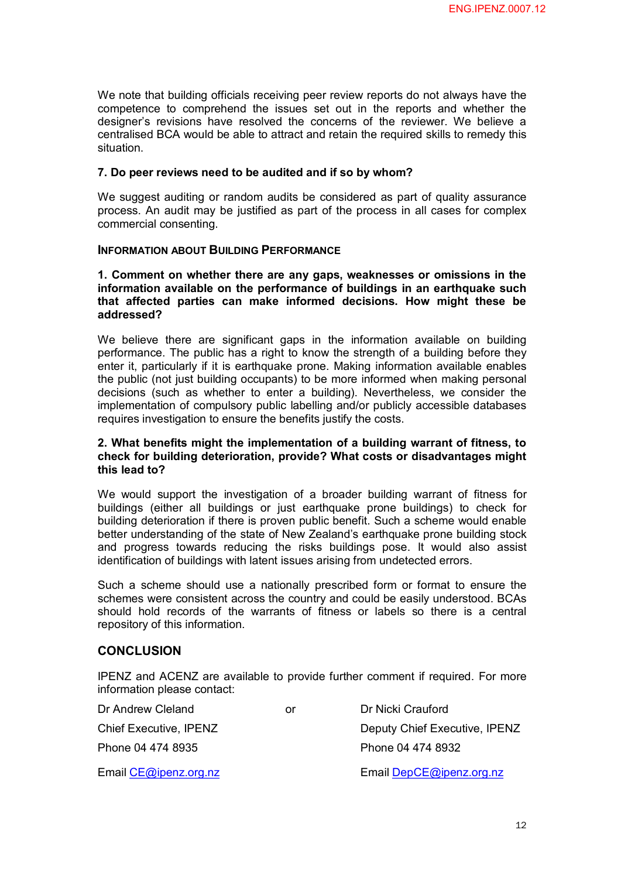We note that building officials receiving peer review reports do not always have the We note that building officials receiving peer review reports do not always have the<br>competence to comprehend the issues set out in the reports and whether the<br>designer's revisions have resolved the concerns of the reviewe competence to comprehend the issues set out in the reports and whether the designer's revisions have resolved the concerns of the reviewer. We believe a centralised BCA would be able to attract and retain the required skills to remedy this situation.

#### **7. Do peer reviews need to be audited and if so by whom?**

7. Do peer reviews need to be audited and if so by whom?<br>We suggest auditing or random audits be considered as part of quality assurance<br>process. An audit may be justified as part of the process in all cases for comple we suggest auditing or random audits be considered as part of quality assurance<br>process. An audit may be justified as part of the process in all cases for complex commercial consenting.

#### **INFORMATION ABOUT BUILDING PERFORMANCE**

**1. Comment on whether there are any gaps, weaknesses or omissions in the i** Comment on whether there are any gaps, weaknesses or omissions in the<br>information available on the performance of buildings in an earthquake such<br>that affected parties can make informed decisions. How might these be **1. Comment on whether there are any gaps, weaknesses or omissions in the information available on the performance of buildings in an earthquake such that affected parties can make informed decisions. How might these be** a **addressed?**

We believe there are significant gaps in the information available on building We believe there are significant gaps in the information available on building<br>performance. The public has a right to know the strength of a building before they<br>enter it particularly if it is earthquake prope. Making info We believe there are significant gaps in the information available on building<br>performance. The public has a right to know the strength of a building before they<br>enter it, particularly if it is earthquake prone. Making inf the public (not just building occupants) to be more informed when making personal enter it, particularly if it is earthquake prone. Making information available enables<br>the public (not just building occupants) to be more informed when making personal<br>decisions (such as whether to enter a building). Neve implementation of compulsory public labelling and/or publicly accessible databases requires investigation to ensure the benefits justify the costs.

#### **2. What benefits might the implementation of a building warrant of fitness, to check for building deterioration, provide? What costs or disadvantages might this lead to?**

We would support the investigation of a broader building warrant of fitness for buildings (either all buildings or just earthquake prone buildings) to check for building deterioration if there is proven public benefit. Such a scheme would enable<br>better understanding of the state of New Zealand's earthquake prone building stock<br>and progress towards reducing the risks buildings pose better understanding of the state of New Zealand's earthquake prone building stock identification of buildings with latent issues arising from undetected errors. and progress towards reducing the risks buildings pose. It would also assist identification of buildings with latent issues arising from undetected errors.<br>Such a scheme should use a nationally prescribed form or format to

schemes were consistent across the country and could be easily understood. BCAs Such a scheme should use a nationally prescribed form or format to ensure the schemes were consistent across the country and could be easily understood. BCAs should hold records of the warrants of fitness or labels so ther repository of this information.

#### **CONCLUSION**

IPENZ and ACENZ are available to provide further comment if required. For more information please contact:

| Dr Andrew Cleland       | or | Dr Nicki Crauford             |
|-------------------------|----|-------------------------------|
| Chief Executive, IPENZ  |    | Deputy Chief Executive, IPENZ |
| Phone 04 474 8935       |    | Phone 04 474 8932             |
| Email $CE@ipenz.org.nz$ |    | Email DepCE@ipenz.org.nz      |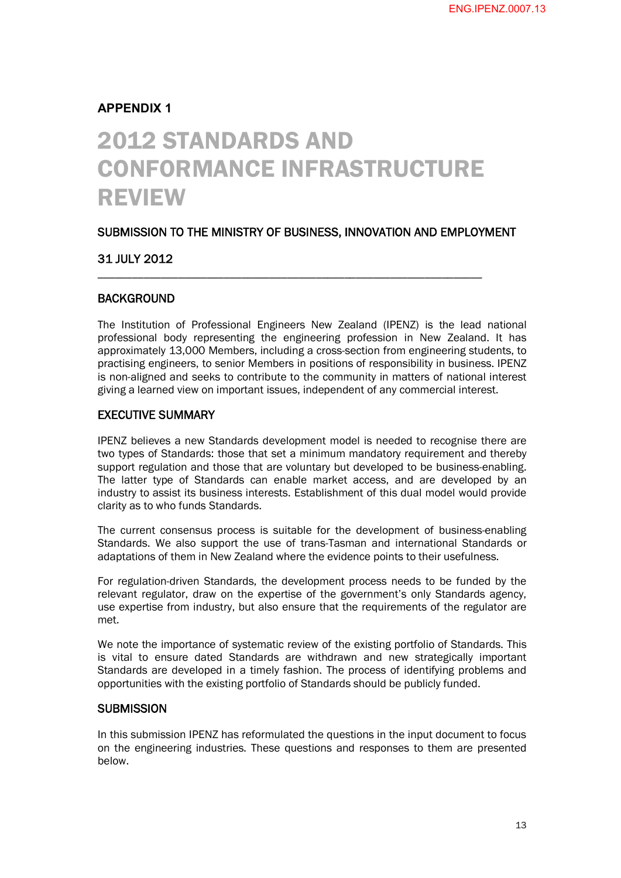### **APPENDIX 1**

# 2012 STANDARDS AND CONFORMANCE INFRASTRUCTURE REVIEW

#### SUBMISSION TO THE MINISTRY OF BUSINESS, INNOVATION AND EMPLOYMENT

\_\_\_\_\_\_\_\_\_\_\_\_\_\_\_\_\_\_\_\_\_\_\_\_\_\_\_\_\_\_\_\_\_\_\_\_\_\_\_\_\_\_\_\_\_\_\_\_\_\_\_\_\_\_\_\_\_\_\_\_\_\_\_\_\_\_\_

#### 31 JULY 2012

#### BACKGROUND

The Institution of Professional Engineers New Zealand (IPENZ) is the lead national professional body representing the engineering profession in New Zealand. It has approximately 13,000 Members, including a cross-section from engineering students, to practising engineers, to senior Members in positions of responsibility in business. IPENZ is non-aligned and seeks to contribute to the community in matters of national interest giving a learned view on important issues, independent of any commercial interest.

#### EXECUTIVE SUMMARY

IPENZ believes a new Standards development model is needed to recognise there are two types of Standards: those that set a minimum mandatory requirement and thereby support regulation and those that are voluntary but developed to be business-enabling. The latter type of Standards can enable market access, and are developed by an industry to assist its business interests. Establishment of this dual model would provide clarity as to who funds Standards.

The current consensus process is suitable for the development of business-enabling Standards. We also support the use of trans-Tasman and international Standards or adaptations of them in New Zealand where the evidence points to their usefulness.

For regulation-driven Standards, the development process needs to be funded by the relevant regulator, draw on the expertise of the government's only Standards agency, use expertise from industry, but also ensure that the requirements of the regulator are met.

We note the importance of systematic review of the existing portfolio of Standards. This is vital to ensure dated Standards are withdrawn and new strategically important Standards are developed in a timely fashion. The process of identifying problems and opportunities with the existing portfolio of Standards should be publicly funded.

#### **SUBMISSION**

In this submission IPENZ has reformulated the questions in the input document to focus on the engineering industries. These questions and responses to them are presented below.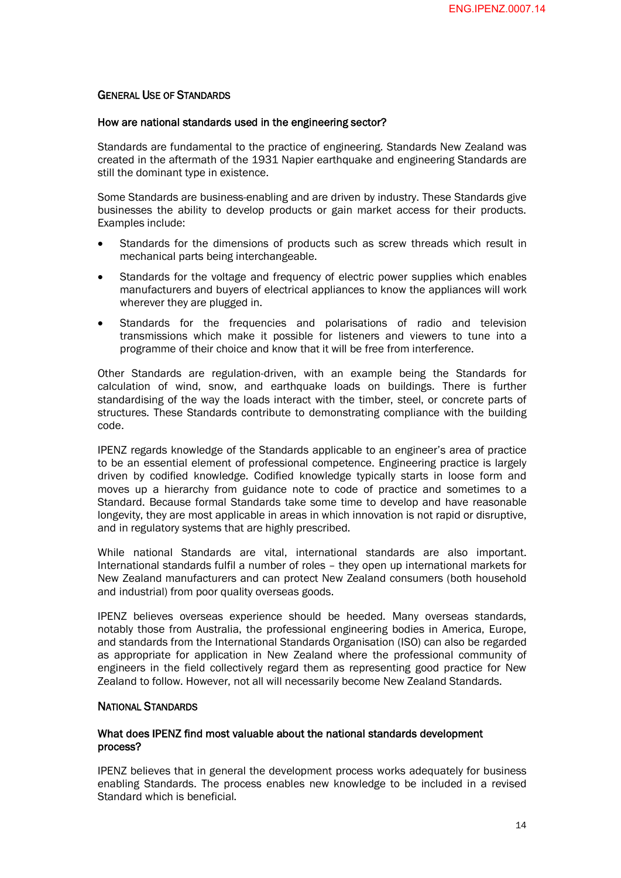#### GENERAL USE OF STANDARDS

#### How are national standards used in the engineering sector?

Standards are fundamental to the practice of engineering. Standards New Zealand was created in the aftermath of the 1931 Napier earthquake and engineering Standards are still the dominant type in existence.

Some Standards are business-enabling and are driven by industry. These Standards give businesses the ability to develop products or gain market access for their products. Examples include:

- Standards for the dimensions of products such as screw threads which result in mechanical parts being interchangeable.
- · Standards for the voltage and frequency of electric power supplies which enables manufacturers and buyers of electrical appliances to know the appliances will work wherever they are plugged in.
- Standards for the frequencies and polarisations of radio and television transmissions which make it possible for listeners and viewers to tune into a programme of their choice and know that it will be free from interference.

Other Standards are regulation-driven, with an example being the Standards for calculation of wind, snow, and earthquake loads on buildings. There is further standardising of the way the loads interact with the timber, steel, or concrete parts of structures. These Standards contribute to demonstrating compliance with the building code.

IPENZ regards knowledge of the Standards applicable to an engineer's area of practice to be an essential element of professional competence. Engineering practice is largely driven by codified knowledge. Codified knowledge typically starts in loose form and moves up a hierarchy from guidance note to code of practice and sometimes to a Standard. Because formal Standards take some time to develop and have reasonable longevity, they are most applicable in areas in which innovation is not rapid or disruptive, and in regulatory systems that are highly prescribed.

While national Standards are vital, international standards are also important. International standards fulfil a number of roles – they open up international markets for New Zealand manufacturers and can protect New Zealand consumers (both household and industrial) from poor quality overseas goods.

IPENZ believes overseas experience should be heeded. Many overseas standards, notably those from Australia, the professional engineering bodies in America, Europe, and standards from the International Standards Organisation (ISO) can also be regarded as appropriate for application in New Zealand where the professional community of engineers in the field collectively regard them as representing good practice for New Zealand to follow. However, not all will necessarily become New Zealand Standards.

#### NATIONAL STANDARDS

#### What does IPENZ find most valuable about the national standards development process?

IPENZ believes that in general the development process works adequately for business enabling Standards. The process enables new knowledge to be included in a revised Standard which is beneficial.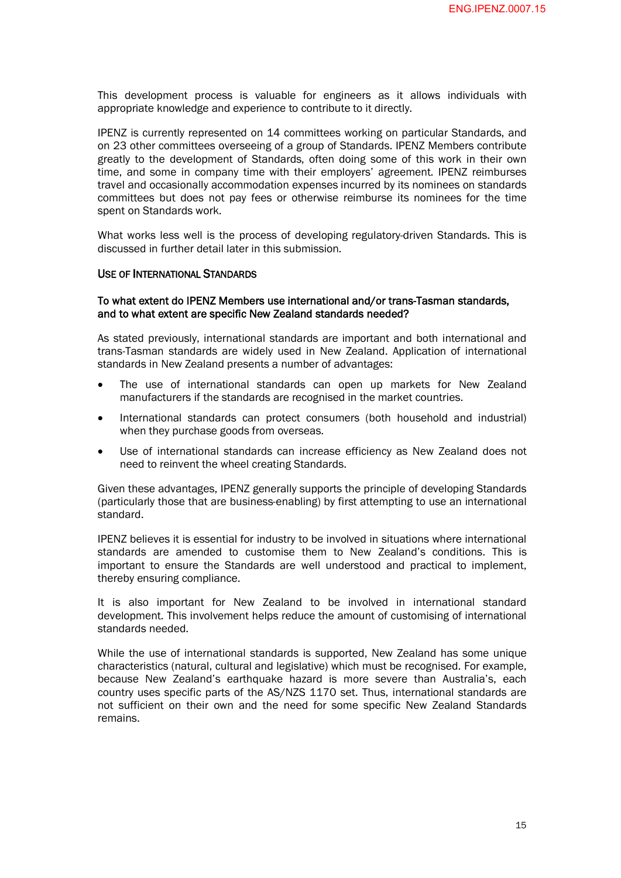This development process is valuable for engineers as it allows individuals with appropriate knowledge and experience to contribute to it directly.

IPENZ is currently represented on 14 committees working on particular Standards, and on 23 other committees overseeing of a group of Standards. IPENZ Members contribute greatly to the development of Standards, often doing some of this work in their own time, and some in company time with their employers' agreement. IPENZ reimburses travel and occasionally accommodation expenses incurred by its nominees on standards committees but does not pay fees or otherwise reimburse its nominees for the time spent on Standards work.

What works less well is the process of developing regulatory-driven Standards. This is discussed in further detail later in this submission.

#### USE OF INTERNATIONAL STANDARDS

#### To what extent do IPENZ Members use international and/or trans-Tasman standards, and to what extent are specific New Zealand standards needed?

As stated previously, international standards are important and both international and trans-Tasman standards are widely used in New Zealand. Application of international standards in New Zealand presents a number of advantages:

- The use of international standards can open up markets for New Zealand manufacturers if the standards are recognised in the market countries.
- · International standards can protect consumers (both household and industrial) when they purchase goods from overseas.
- Use of international standards can increase efficiency as New Zealand does not need to reinvent the wheel creating Standards.

Given these advantages, IPENZ generally supports the principle of developing Standards (particularly those that are business-enabling) by first attempting to use an international standard.

IPENZ believes it is essential for industry to be involved in situations where international standards are amended to customise them to New Zealand's conditions. This is important to ensure the Standards are well understood and practical to implement, thereby ensuring compliance.

It is also important for New Zealand to be involved in international standard development. This involvement helps reduce the amount of customising of international standards needed.

While the use of international standards is supported, New Zealand has some unique characteristics (natural, cultural and legislative) which must be recognised. For example, because New Zealand's earthquake hazard is more severe than Australia's, each country uses specific parts of the AS/NZS 1170 set. Thus, international standards are not sufficient on their own and the need for some specific New Zealand Standards remains.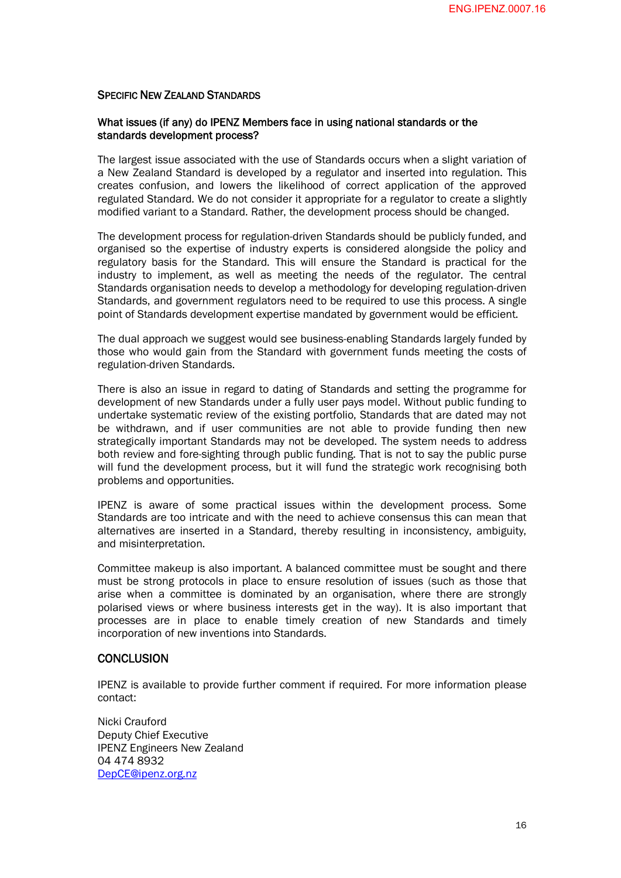#### SPECIFIC NEW ZEALAND STANDARDS

#### What issues (if any) do IPENZ Members face in using national standards or the standards development process?

The largest issue associated with the use of Standards occurs when a slight variation of a New Zealand Standard is developed by a regulator and inserted into regulation. This creates confusion, and lowers the likelihood of correct application of the approved regulated Standard. We do not consider it appropriate for a regulator to create a slightly modified variant to a Standard. Rather, the development process should be changed.

The development process for regulation-driven Standards should be publicly funded, and organised so the expertise of industry experts is considered alongside the policy and regulatory basis for the Standard. This will ensure the Standard is practical for the industry to implement, as well as meeting the needs of the regulator. The central Standards organisation needs to develop a methodology for developing regulation-driven Standards, and government regulators need to be required to use this process. A single point of Standards development expertise mandated by government would be efficient.

The dual approach we suggest would see business-enabling Standards largely funded by those who would gain from the Standard with government funds meeting the costs of regulation-driven Standards.

There is also an issue in regard to dating of Standards and setting the programme for development of new Standards under a fully user pays model. Without public funding to undertake systematic review of the existing portfolio, Standards that are dated may not be withdrawn, and if user communities are not able to provide funding then new strategically important Standards may not be developed. The system needs to address both review and fore-sighting through public funding. That is not to say the public purse will fund the development process, but it will fund the strategic work recognising both problems and opportunities.

IPENZ is aware of some practical issues within the development process. Some Standards are too intricate and with the need to achieve consensus this can mean that alternatives are inserted in a Standard, thereby resulting in inconsistency, ambiguity, and misinterpretation.

Committee makeup is also important. A balanced committee must be sought and there must be strong protocols in place to ensure resolution of issues (such as those that arise when a committee is dominated by an organisation, where there are strongly polarised views or where business interests get in the way). It is also important that processes are in place to enable timely creation of new Standards and timely incorporation of new inventions into Standards.

#### **CONCLUSION**

IPENZ is available to provide further comment if required. For more information please contact:

Nicki Crauford Deputy Chief Executive IPENZ Engineers New Zealand 04 474 8932 [DepCE@ipenz.org.nz](mailto:DepCE@ipenz.org.nz)